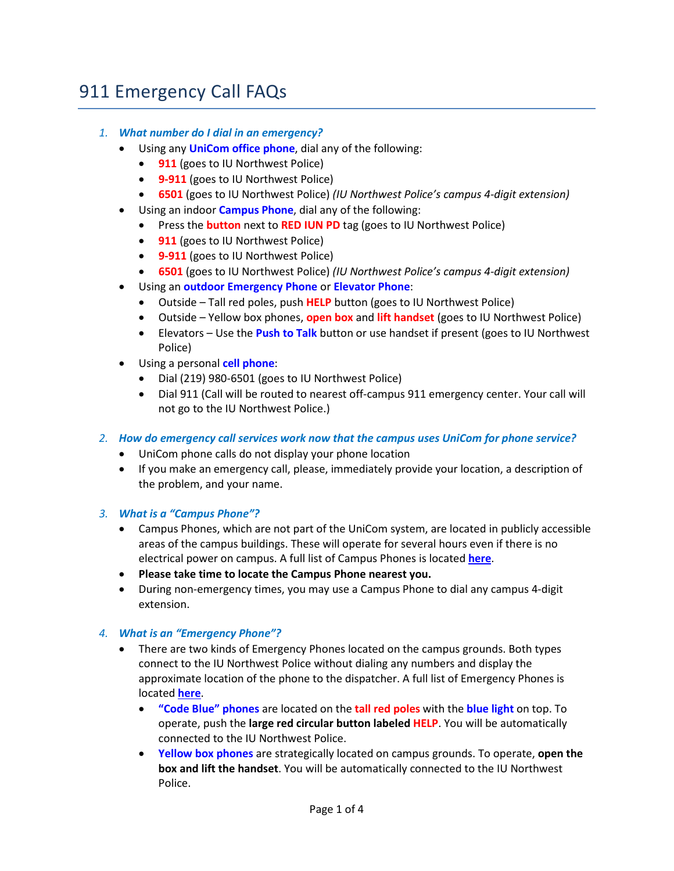# 911 Emergency Call FAQs

### *1. What number do I dial in an emergency?*

- • Using any **UniCom office phone**, dial any of the following:
	- **911** (goes to IU Northwest Police)
	- **9-911** (goes to IU Northwest Police)
	- **6501** (goes to IU Northwest Police) *(IU Northwest Police's campus 4-digit extension)*
- • Using an indoor **Campus Phone**, dial any of the following:
	- Press the **button** next to **RED IUN PD** tag (goes to IU Northwest Police)
	- **911** (goes to IU Northwest Police)
	- **9-911** (goes to IU Northwest Police)
	- **6501** (goes to IU Northwest Police) *(IU Northwest Police's campus 4-digit extension)*
- • Using an **outdoor Emergency Phone** or **Elevator Phone**:
	- Outside Tall red poles, push **HELP** button (goes to IU Northwest Police)
	- Outside Yellow box phones, **open box** and **lift handset** (goes to IU Northwest Police)
	- • Elevators Use the **Push to Talk** button or use handset if present (goes to IU Northwest Police)
- Using a personal **cell phone**:
	- Dial (219) 980-6501 (goes to IU Northwest Police)
	- Dial 911 (Call will be routed to nearest off-campus 911 emergency center. Your call will not go to the IU Northwest Police.)

## *2. How do emergency call services work now that the campus uses UniCom for phone service?*

- UniCom phone calls do not display your phone location
- If you make an emergency call, please, immediately provide your location, a description of the problem, and your name.

#### *3. What is a "Campus Phone"?*

- areas of the campus buildings. These will operate for several hours even if there is no electrical power on campus. A full list of Campus Phones is located **[here](#page-2-0)**. • Campus Phones, which are not part of the UniCom system, are located in publicly accessible
- **Please take time to locate the Campus Phone nearest you.**
- • During non-emergency times, you may use a Campus Phone to dial any campus 4-digit extension.

#### *4. What is an "Emergency Phone"?*

- There are two kinds of Emergency Phones located on the campus grounds. Both types connect to the IU Northwest Police without dialing any numbers and display the approximate location of the phone to the dispatcher. A full list of Emergency Phones is located **[here](#page-3-0)**.
	- • **"Code Blue" phones** are located on the **tall red poles** with the **blue light** on top. To operate, push the **large red circular button labeled HELP**. You will be automatically connected to the IU Northwest Police.
	- • **Yellow box phones** are strategically located on campus grounds. To operate, **open the box and lift the handset**. You will be automatically connected to the IU Northwest Police.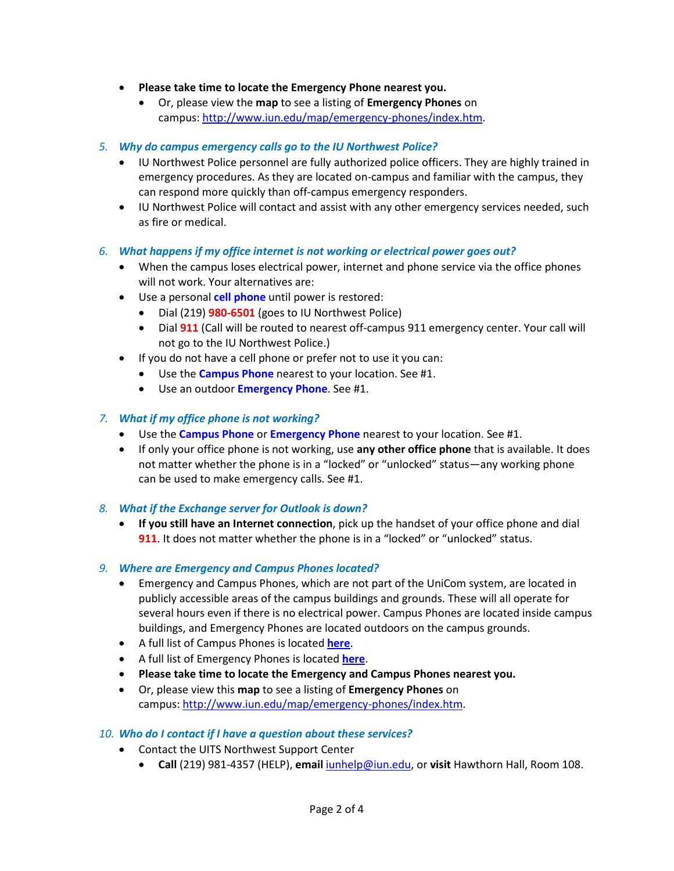- **Please take time to locate the Emergency Phone nearest you.** 
	- • Or, please view the **map** to see a listing of **Emergency Phones** on campus: [http://www.iun.edu/map/emergency-phones/index.htm.](http://www.iun.edu/map/emergency-phones/index.htm)
- *5. Why do campus emergency calls go to the IU Northwest Police?* 
	- • IU Northwest Police personnel are fully authorized police officers. They are highly trained in can respond more quickly than off-campus emergency responders. emergency procedures. As they are located on-campus and familiar with the campus, they
	- IU Northwest Police will contact and assist with any other emergency services needed, such as fire or medical.
- *6. What happens if my office internet is not working or electrical power goes out?* 
	- When the campus loses electrical power, internet and phone service via the office phones will not work. Your alternatives are:
	- • Use a personal **cell phone** until power is restored:
		- Dial (219) **980-6501** (goes to IU Northwest Police)
		- Dial **911** (Call will be routed to nearest off-campus 911 emergency center. Your call will not go to the IU Northwest Police.)
	- • If you do not have a cell phone or prefer not to use it you can:
		- Use the **Campus Phone** nearest to your location. See #1.
		- Use an outdoor **Emergency Phone**. See #1.

#### *7. What if my office phone is not working?*

- Use the **Campus Phone** or **Emergency Phone** nearest to your location. See #1.
- • If only your office phone is not working, use **any other office phone** that is available. It does not matter whether the phone is in a "locked" or "unlocked" status—any working phone can be used to make emergency calls. See #1.
- *8. What if the Exchange server for Outlook is down?* 
	- • **If you still have an Internet connection**, pick up the handset of your office phone and dial **911**. It does not matter whether the phone is in a "locked" or "unlocked" status.

#### *9. Where are Emergency and Campus Phones located?*

- several hours even if there is no electrical power. Campus Phones are located inside campus • Emergency and Campus Phones, which are not part of the UniCom system, are located in publicly accessible areas of the campus buildings and grounds. These will all operate for buildings, and Emergency Phones are located outdoors on the campus grounds.
- A full list of Campus Phones is located **[here](#page-2-0)**.
- A full list of Emergency Phones is located **[here](#page-3-0)**.
- **Please take time to locate the Emergency and Campus Phones nearest you.**
- Or, please view this **map** to see a listing of **Emergency Phones** on campus: [http://www.iun.edu/map/emergency-phones/index.htm.](http://www.iun.edu/map/emergency-phones/index.htm)

#### *10. Who do I contact if I have a question about these services?*

- Contact the UITS Northwest Support Center
	- **Call** (219) 981-4357 (HELP), **email** [iunhelp@iun.edu,](mailto:iunhelp@iun.edu) or **visit** Hawthorn Hall, Room 108.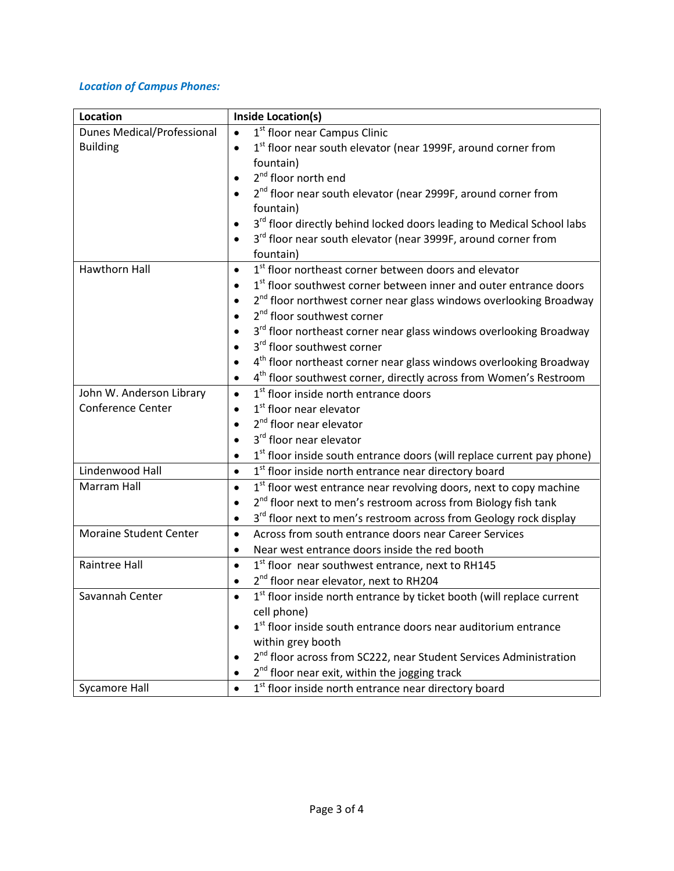#### <span id="page-2-0"></span> *Location of Campus Phones:*

| Location                          | <b>Inside Location(s)</b>                                                                   |
|-----------------------------------|---------------------------------------------------------------------------------------------|
| <b>Dunes Medical/Professional</b> | 1 <sup>st</sup> floor near Campus Clinic<br>$\bullet$                                       |
| <b>Building</b>                   | 1st floor near south elevator (near 1999F, around corner from<br>$\bullet$                  |
|                                   | fountain)                                                                                   |
|                                   | 2 <sup>nd</sup> floor north end                                                             |
|                                   | 2 <sup>nd</sup> floor near south elevator (near 2999F, around corner from                   |
|                                   | fountain)                                                                                   |
|                                   | 3 <sup>rd</sup> floor directly behind locked doors leading to Medical School labs           |
|                                   | 3 <sup>rd</sup> floor near south elevator (near 3999F, around corner from                   |
|                                   | fountain)                                                                                   |
| <b>Hawthorn Hall</b>              | 1 <sup>st</sup> floor northeast corner between doors and elevator<br>$\bullet$              |
|                                   | 1 <sup>st</sup> floor southwest corner between inner and outer entrance doors               |
|                                   | 2 <sup>nd</sup> floor northwest corner near glass windows overlooking Broadway<br>$\bullet$ |
|                                   | 2 <sup>nd</sup> floor southwest corner                                                      |
|                                   | 3 <sup>rd</sup> floor northeast corner near glass windows overlooking Broadway              |
|                                   | 3rd floor southwest corner                                                                  |
|                                   | 4 <sup>th</sup> floor northeast corner near glass windows overlooking Broadway              |
|                                   | 4 <sup>th</sup> floor southwest corner, directly across from Women's Restroom               |
| John W. Anderson Library          | 1 <sup>st</sup> floor inside north entrance doors<br>$\bullet$                              |
| Conference Center                 | 1 <sup>st</sup> floor near elevator                                                         |
|                                   | 2 <sup>nd</sup> floor near elevator                                                         |
|                                   | 3 <sup>rd</sup> floor near elevator                                                         |
|                                   | 1 <sup>st</sup> floor inside south entrance doors (will replace current pay phone)          |
| Lindenwood Hall                   | 1 <sup>st</sup> floor inside north entrance near directory board<br>$\bullet$               |
| Marram Hall                       | 1 <sup>st</sup> floor west entrance near revolving doors, next to copy machine<br>$\bullet$ |
|                                   | 2 <sup>nd</sup> floor next to men's restroom across from Biology fish tank                  |
|                                   | 3 <sup>rd</sup> floor next to men's restroom across from Geology rock display<br>$\bullet$  |
| <b>Moraine Student Center</b>     | Across from south entrance doors near Career Services<br>$\bullet$                          |
|                                   | Near west entrance doors inside the red booth<br>$\bullet$                                  |
| Raintree Hall                     | 1st floor near southwest entrance, next to RH145<br>$\bullet$                               |
|                                   | 2 <sup>nd</sup> floor near elevator, next to RH204                                          |
| Savannah Center                   | $1st$ floor inside north entrance by ticket booth (will replace current                     |
|                                   | cell phone)                                                                                 |
|                                   | 1st floor inside south entrance doors near auditorium entrance                              |
|                                   | within grey booth                                                                           |
|                                   | 2 <sup>nd</sup> floor across from SC222, near Student Services Administration               |
|                                   | 2 <sup>nd</sup> floor near exit, within the jogging track                                   |
| <b>Sycamore Hall</b>              | 1st floor inside north entrance near directory board                                        |